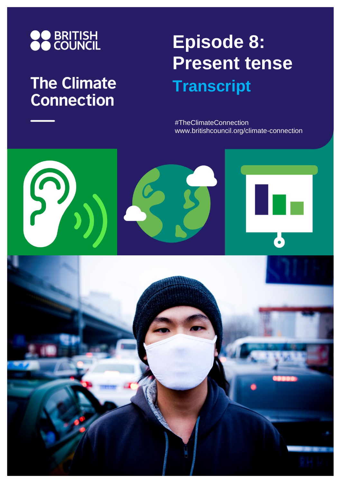

## **The Climate Connection**

# **Episode 8: Present tense Transcript**

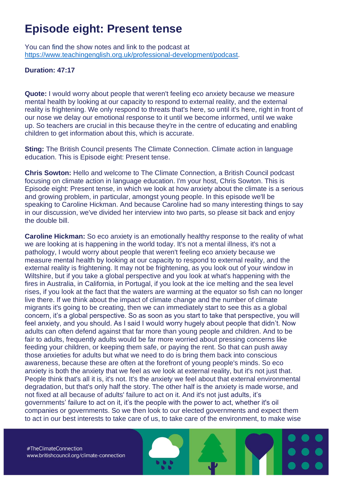### **Episode eight: Present tense**

You can find the show notes and link to the podcast at [https://www.teachingenglish.org.uk/professional-development/podcast.](https://www.teachingenglish.org.uk/professional-development/podcast)

#### **Duration: 47:17**

**Quote:** I would worry about people that weren't feeling eco anxiety because we measure mental health by looking at our capacity to respond to external reality, and the external reality is frightening. We only respond to threats that's here, so until it's here, right in front of our nose we delay our emotional response to it until we become informed, until we wake up. So teachers are crucial in this because they're in the centre of educating and enabling children to get information about this, which is accurate.

**Sting:** The British Council presents The Climate Connection. Climate action in language education. This is Episode eight: Present tense.

**Chris Sowton:** Hello and welcome to The Climate Connection, a British Council podcast focusing on climate action in language education. I'm your host, Chris Sowton. This is Episode eight: Present tense, in which we look at how anxiety about the climate is a serious and growing problem, in particular, amongst young people. In this episode we'll be speaking to Caroline Hickman. And because Caroline had so many interesting things to say in our discussion, we've divided her interview into two parts, so please sit back and enjoy the double bill.

**Caroline Hickman:** So eco anxiety is an emotionally healthy response to the reality of what we are looking at is happening in the world today. It's not a mental illness, it's not a pathology, I would worry about people that weren't feeling eco anxiety because we measure mental health by looking at our capacity to respond to external reality, and the external reality is frightening. It may not be frightening, as you look out of your window in Wiltshire, but if you take a global perspective and you look at what's happening with the fires in Australia, in California, in Portugal, if you look at the ice melting and the sea level rises, if you look at the fact that the waters are warming at the equator so fish can no longer live there. If we think about the impact of climate change and the number of climate migrants it's going to be creating, then we can immediately start to see this as a global concern, it's a global perspective. So as soon as you start to take that perspective, you will feel anxiety, and you should. As I said I would worry hugely about people that didn't. Now adults can often defend against that far more than young people and children. And to be fair to adults, frequently adults would be far more worried about pressing concerns like feeding your children, or keeping them safe, or paying the rent. So that can push away those anxieties for adults but what we need to do is bring them back into conscious awareness, because these are often at the forefront of young people's minds. So eco anxiety is both the anxiety that we feel as we look at external reality, but it's not just that. People think that's all it is, it's not. It's the anxiety we feel about that external environmental degradation, but that's only half the story. The other half is the anxiety is made worse, and not fixed at all because of adults' failure to act on it. And it's not just adults, it's governments' failure to act on it, it's the people with the power to act, whether it's oil companies or governments. So we then look to our elected governments and expect them to act in our best interests to take care of us, to take care of the environment, to make wise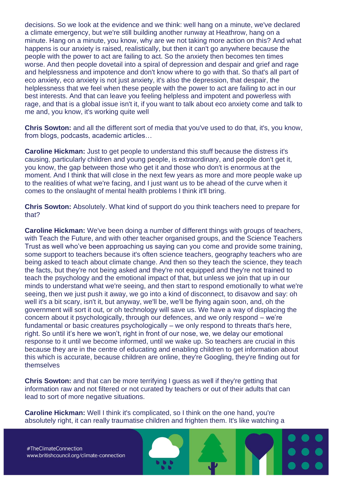decisions. So we look at the evidence and we think: well hang on a minute, we've declared a climate emergency, but we're still building another runway at Heathrow, hang on a minute. Hang on a minute, you know, why are we not taking more action on this? And what happens is our anxiety is raised, realistically, but then it can't go anywhere because the people with the power to act are failing to act. So the anxiety then becomes ten times worse. And then people dovetail into a spiral of depression and despair and grief and rage and helplessness and impotence and don't know where to go with that. So that's all part of eco anxiety, eco anxiety is not just anxiety, it's also the depression, that despair, the helplessness that we feel when these people with the power to act are failing to act in our best interests. And that can leave you feeling helpless and impotent and powerless with rage, and that is a global issue isn't it, if you want to talk about eco anxiety come and talk to me and, you know, it's working quite well

**Chris Sowton:** and all the different sort of media that you've used to do that, it's, you know, from blogs, podcasts, academic articles…

**Caroline Hickman:** Just to get people to understand this stuff because the distress it's causing, particularly children and young people, is extraordinary, and people don't get it, you know, the gap between those who get it and those who don't is enormous at the moment. And I think that will close in the next few years as more and more people wake up to the realities of what we're facing, and I just want us to be ahead of the curve when it comes to the onslaught of mental health problems I think it'll bring.

**Chris Sowton:** Absolutely. What kind of support do you think teachers need to prepare for that?

**Caroline Hickman:** We've been doing a number of different things with groups of teachers, with Teach the Future, and with other teacher organised groups, and the Science Teachers Trust as well who've been approaching us saying can you come and provide some training, some support to teachers because it's often science teachers, geography teachers who are being asked to teach about climate change. And then so they teach the science, they teach the facts, but they're not being asked and they're not equipped and they're not trained to teach the psychology and the emotional impact of that, but unless we join that up in our minds to understand what we're seeing, and then start to respond emotionally to what we're seeing, then we just push it away, we go into a kind of disconnect, to disavow and say: oh well it's a bit scary, isn't it, but anyway, we'll be, we'll be flying again soon, and, oh the government will sort it out, or oh technology will save us. We have a way of displacing the concern about it psychologically, through our defences, and we only respond – we're fundamental or basic creatures psychologically – we only respond to threats that's here, right. So until it's here we won't, right in front of our nose, we, we delay our emotional response to it until we become informed, until we wake up. So teachers are crucial in this because they are in the centre of educating and enabling children to get information about this which is accurate, because children are online, they're Googling, they're finding out for themselves

**Chris Sowton:** and that can be more terrifying I guess as well if they're getting that information raw and not filtered or not curated by teachers or out of their adults that can lead to sort of more negative situations.

**Caroline Hickman:** Well I think it's complicated, so I think on the one hand, you're absolutely right, it can really traumatise children and frighten them. It's like watching a

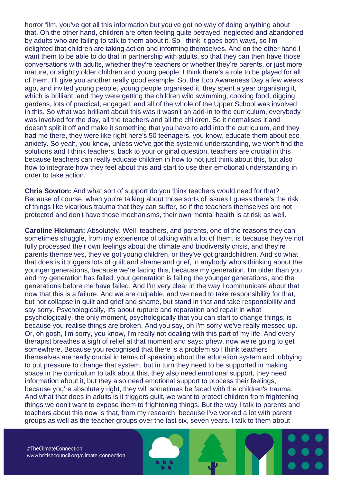horror film, you've got all this information but you've got no way of doing anything about that. On the other hand, children are often feeling quite betrayed, neglected and abandoned by adults who are failing to talk to them about it. So I think it goes both ways, so I'm delighted that children are taking action and informing themselves. And on the other hand I want them to be able to do that in partnership with adults, so that they can then have those conversations with adults, whether they're teachers or whether they're parents, or just more mature, or slightly older children and young people. I think there's a role to be played for all of them. I'll give you another really good example. So, the Eco Awareness Day a few weeks ago, and invited young people, young people organised it, they spent a year organising it, which is brilliant, and they were getting the children wild swimming, cooking food, digging gardens, lots of practical, engaged, and all of the whole of the Upper School was involved in this. So what was brilliant about this was it wasn't an add-in to the curriculum, everybody was involved for the day, all the teachers and all the children. So it normalises it and doesn't split it off and make it something that you have to add into the curriculum, and they had me there, they were like right here's 50 teenagers, you know, educate them about eco anxiety. So yeah, you know, unless we've got the systemic understanding, we won't find the solutions and I think teachers, back to your original question, teachers are crucial in this because teachers can really educate children in how to not just think about this, but also how to integrate how they feel about this and start to use their emotional understanding in order to take action.

**Chris Sowton:** And what sort of support do you think teachers would need for that? Because of course, when you're talking about those sorts of issues I guess there's the risk of things like vicarious trauma that they can suffer, so if the teachers themselves are not protected and don't have those mechanisms, their own mental health is at risk as well.

**Caroline Hickman:** Absolutely. Well, teachers, and parents, one of the reasons they can sometimes struggle, from my experience of talking with a lot of them, is because they've not fully processed their own feelings about the climate and biodiversity crisis, and they're parents themselves, they've got young children, or they've got grandchildren. And so what that does is it triggers lots of guilt and shame and grief, in anybody who's thinking about the younger generations, because we're facing this, because my generation, I'm older than you, and my generation has failed, your generation is failing the younger generations, and the generations before me have failed. And I'm very clear in the way I communicate about that now that this is a failure. And we are culpable, and we need to take responsibility for that, but not collapse in guilt and grief and shame, but stand in that and take responsibility and say sorry. Psychologically, it's about rupture and reparation and repair in what psychologically, the only moment, psychologically that you can start to change things, is because you realise things are broken. And you say, oh I'm sorry we've really messed up. Or, oh gosh, I'm sorry, you know, I'm really not dealing with this part of my life. And every therapist breathes a sigh of relief at that moment and says: phew, now we're going to get somewhere. Because you recognised that there is a problem so I think teachers themselves are really crucial in terms of speaking about the education system and lobbying to put pressure to change that system, but in turn they need to be supported in making space in the curriculum to talk about this, they also need emotional support, they need information about it, but they also need emotional support to process their feelings, because you're absolutely right, they will sometimes be faced with the children's trauma. And what that does in adults is it triggers guilt, we want to protect children from frightening things we don't want to expose them to frightening things. But the way I talk to parents and teachers about this now is that, from my research, because I've worked a lot with parent groups as well as the teacher groups over the last six, seven years. I talk to them about

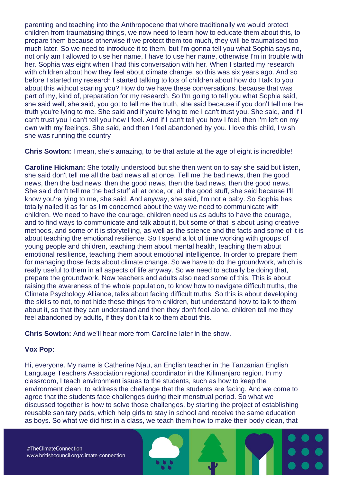parenting and teaching into the Anthropocene that where traditionally we would protect children from traumatising things, we now need to learn how to educate them about this, to prepare them because otherwise if we protect them too much, they will be traumatised too much later. So we need to introduce it to them, but I'm gonna tell you what Sophia says no, not only am I allowed to use her name, I have to use her name, otherwise I'm in trouble with her. Sophia was eight when I had this conversation with her. When I started my research with children about how they feel about climate change, so this was six years ago. And so before I started my research I started talking to lots of children about how do I talk to you about this without scaring you? How do we have these conversations, because that was part of my, kind of, preparation for my research. So I'm going to tell you what Sophia said, she said well, she said, you got to tell me the truth, she said because if you don't tell me the truth you're lying to me. She said and if you're lying to me I can't trust you. She said, and if I can't trust you I can't tell you how I feel. And if I can't tell you how I feel, then I'm left on my own with my feelings. She said, and then I feel abandoned by you. I love this child, I wish she was running the country

**Chris Sowton:** I mean, she's amazing, to be that astute at the age of eight is incredible!

**Caroline Hickman:** She totally understood but she then went on to say she said but listen, she said don't tell me all the bad news all at once. Tell me the bad news, then the good news, then the bad news, then the good news, then the bad news, then the good news. She said don't tell me the bad stuff all at once, or, all the good stuff, she said because I'll know you're lying to me, she said. And anyway, she said, I'm not a baby. So Sophia has totally nailed it as far as I'm concerned about the way we need to communicate with children. We need to have the courage, children need us as adults to have the courage, and to find ways to communicate and talk about it, but some of that is about using creative methods, and some of it is storytelling, as well as the science and the facts and some of it is about teaching the emotional resilience. So I spend a lot of time working with groups of young people and children, teaching them about mental health, teaching them about emotional resilience, teaching them about emotional intelligence. In order to prepare them for managing those facts about climate change. So we have to do the groundwork, which is really useful to them in all aspects of life anyway. So we need to actually be doing that, prepare the groundwork. Now teachers and adults also need some of this. This is about raising the awareness of the whole population, to know how to navigate difficult truths, the Climate Psychology Alliance, talks about facing difficult truths. So this is about developing the skills to not, to not hide these things from children, but understand how to talk to them about it, so that they can understand and then they don't feel alone, children tell me they feel abandoned by adults, if they don't talk to them about this.

**Chris Sowton:** And we'll hear more from Caroline later in the show.

#### **Vox Pop:**

Hi, everyone. My name is Catherine Njau, an English teacher in the Tanzanian English Language Teachers Association regional coordinator in the Kilimanjaro region. In my classroom, I teach environment issues to the students, such as how to keep the environment clean, to address the challenge that the students are facing. And we come to agree that the students face challenges during their menstrual period. So what we discussed together is how to solve those challenges, by starting the project of establishing reusable sanitary pads, which help girls to stay in school and receive the same education as boys. So what we did first in a class, we teach them how to make their body clean, that

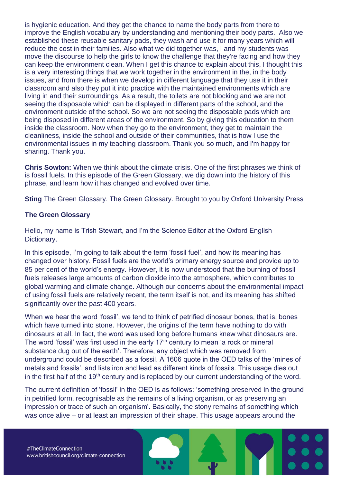is hygienic education. And they get the chance to name the body parts from there to improve the English vocabulary by understanding and mentioning their body parts. Also we established these reusable sanitary pads, they wash and use it for many years which will reduce the cost in their families. Also what we did together was, I and my students was move the discourse to help the girls to know the challenge that they're facing and how they can keep the environment clean. When I get this chance to explain about this, I thought this is a very interesting things that we work together in the environment in the, in the body issues, and from there is when we develop in different language that they use it in their classroom and also they put it into practice with the maintained environments which are living in and their surroundings. As a result, the toilets are not blocking and we are not seeing the disposable which can be displayed in different parts of the school, and the environment outside of the school. So we are not seeing the disposable pads which are being disposed in different areas of the environment. So by giving this education to them inside the classroom. Now when they go to the environment, they get to maintain the cleanliness, inside the school and outside of their communities, that is how I use the environmental issues in my teaching classroom. Thank you so much, and I'm happy for sharing. Thank you.

**Chris Sowton:** When we think about the climate crisis. One of the first phrases we think of is fossil fuels. In this episode of the Green Glossary, we dig down into the history of this phrase, and learn how it has changed and evolved over time.

**Sting** The Green Glossary. The Green Glossary. Brought to you by Oxford University Press

#### **The Green Glossary**

Hello, my name is Trish Stewart, and I'm the Science Editor at the Oxford English Dictionary.

In this episode, I'm going to talk about the term 'fossil fuel', and how its meaning has changed over history. Fossil fuels are the world's primary energy source and provide up to 85 per cent of the world's energy. However, it is now understood that the burning of fossil fuels releases large amounts of carbon dioxide into the atmosphere, which contributes to global warming and climate change. Although our concerns about the environmental impact of using fossil fuels are relatively recent, the term itself is not, and its meaning has shifted significantly over the past 400 years.

When we hear the word 'fossil', we tend to think of petrified dinosaur bones, that is, bones which have turned into stone. However, the origins of the term have nothing to do with dinosaurs at all. In fact, the word was used long before humans knew what dinosaurs are. The word 'fossil' was first used in the early  $17<sup>th</sup>$  century to mean 'a rock or mineral substance dug out of the earth'. Therefore, any object which was removed from underground could be described as a fossil. A 1606 quote in the OED talks of the 'mines of metals and fossils', and lists iron and lead as different kinds of fossils. This usage dies out in the first half of the 19<sup>th</sup> century and is replaced by our current understanding of the word.

The current definition of 'fossil' in the OED is as follows: 'something preserved in the ground in petrified form, recognisable as the remains of a living organism, or as preserving an impression or trace of such an organism'. Basically, the stony remains of something which was once alive – or at least an impression of their shape. This usage appears around the



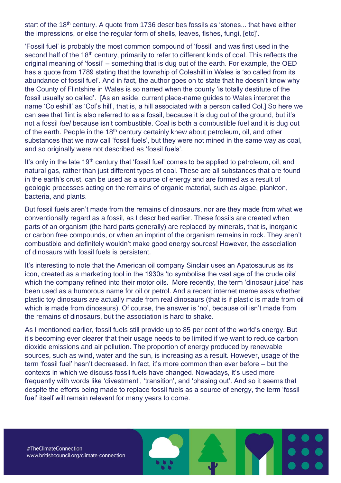start of the 18<sup>th</sup> century. A quote from 1736 describes fossils as 'stones... that have either the impressions, or else the regular form of shells, leaves, fishes, fungi, [etc]'.

'Fossil fuel' is probably the most common compound of 'fossil' and was first used in the second half of the 18<sup>th</sup> century, primarily to refer to different kinds of coal. This reflects the original meaning of 'fossil' – something that is dug out of the earth. For example, the OED has a quote from 1789 stating that the township of Coleshill in Wales is 'so called from its abundance of fossil fuel'. And in fact, the author goes on to state that he doesn't know why the County of Flintshire in Wales is so named when the county 'is totally destitute of the fossil usually so called'. [As an aside, current place-name guides to Wales interpret the name 'Coleshill' as 'Col's hill', that is, a hill associated with a person called Col.] So here we can see that flint is also referred to as a fossil, because it is dug out of the ground, but it's not a fossil *fuel* because isn't combustible. Coal is both a combustible fuel and it is dug out of the earth. People in the 18<sup>th</sup> century certainly knew about petroleum, oil, and other substances that we now call 'fossil fuels', but they were not mined in the same way as coal, and so originally were not described as 'fossil fuels'.

It's only in the late 19<sup>th</sup> century that 'fossil fuel' comes to be applied to petroleum, oil, and natural gas, rather than just different types of coal. These are all substances that are found in the earth's crust, can be used as a source of energy and are formed as a result of geologic processes acting on the remains of organic material, such as algae, plankton, bacteria, and plants.

But fossil fuels aren't made from the remains of dinosaurs, nor are they made from what we conventionally regard as a fossil, as I described earlier. These fossils are created when parts of an organism (the hard parts generally) are replaced by minerals, that is, inorganic or carbon free compounds, or when an imprint of the organism remains in rock. They aren't combustible and definitely wouldn't make good energy sources! However, the association of dinosaurs with fossil fuels is persistent.

It's interesting to note that the American oil company Sinclair uses an Apatosaurus as its icon, created as a marketing tool in the 1930s 'to symbolise the vast age of the crude oils' which the company refined into their motor oils. More recently, the term 'dinosaur juice' has been used as a humorous name for oil or petrol. And a recent internet meme asks whether plastic toy dinosaurs are actually made from real dinosaurs (that is if plastic is made from oil which is made from dinosaurs). Of course, the answer is 'no', because oil isn't made from the remains of dinosaurs, but the association is hard to shake.

As I mentioned earlier, fossil fuels still provide up to 85 per cent of the world's energy. But it's becoming ever clearer that their usage needs to be limited if we want to reduce carbon dioxide emissions and air pollution. The proportion of energy produced by renewable sources, such as wind, water and the sun, is increasing as a result. However, usage of the term 'fossil fuel' hasn't decreased. In fact, it's more common than ever before – but the contexts in which we discuss fossil fuels have changed. Nowadays, it's used more frequently with words like 'divestment', 'transition', and 'phasing out'. And so it seems that despite the efforts being made to replace fossil fuels as a source of energy, the term 'fossil fuel' itself will remain relevant for many years to come.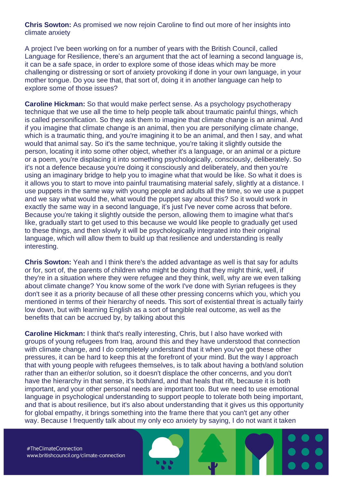**Chris Sowton:** As promised we now rejoin Caroline to find out more of her insights into climate anxiety

A project I've been working on for a number of years with the British Council, called Language for Resilience, there's an argument that the act of learning a second language is, it can be a safe space, in order to explore some of those ideas which may be more challenging or distressing or sort of anxiety provoking if done in your own language, in your mother tongue. Do you see that, that sort of, doing it in another language can help to explore some of those issues?

**Caroline Hickman:** So that would make perfect sense. As a psychology psychotherapy technique that we use all the time to help people talk about traumatic painful things, which is called personification. So they ask them to imagine that climate change is an animal. And if you imagine that climate change is an animal, then you are personifying climate change, which is a traumatic thing, and you're imagining it to be an animal, and then I say, and what would that animal say. So it's the same technique, you're taking it slightly outside the person, locating it into some other object, whether it's a language, or an animal or a picture or a poem, you're displacing it into something psychologically, consciously, deliberately. So it's not a defence because you're doing it consciously and deliberately, and then you're using an imaginary bridge to help you to imagine what that would be like. So what it does is it allows you to start to move into painful traumatising material safely, slightly at a distance. I use puppets in the same way with young people and adults all the time, so we use a puppet and we say what would the, what would the puppet say about this? So it would work in exactly the same way in a second language, it's just I've never come across that before. Because you're taking it slightly outside the person, allowing them to imagine what that's like, gradually start to get used to this because we would like people to gradually get used to these things, and then slowly it will be psychologically integrated into their original language, which will allow them to build up that resilience and understanding is really interesting.

**Chris Sowton:** Yeah and I think there's the added advantage as well is that say for adults or for, sort of, the parents of children who might be doing that they might think, well, if they're in a situation where they were refugee and they think, well, why are we even talking about climate change? You know some of the work I've done with Syrian refugees is they don't see it as a priority because of all these other pressing concerns which you, which you mentioned in terms of their hierarchy of needs. This sort of existential threat is actually fairly low down, but with learning English as a sort of tangible real outcome, as well as the benefits that can be accrued by, by talking about this

**Caroline Hickman:** I think that's really interesting, Chris, but I also have worked with groups of young refugees from Iraq, around this and they have understood that connection with climate change, and I do completely understand that it when you've got these other pressures, it can be hard to keep this at the forefront of your mind. But the way I approach that with young people with refugees themselves, is to talk about having a both/and solution rather than an either/or solution, so it doesn't displace the other concerns, and you don't have the hierarchy in that sense, it's both/and, and that heals that rift, because it is both important, and your other personal needs are important too. But we need to use emotional language in psychological understanding to support people to tolerate both being important, and that is about resilience, but it's also about understanding that it gives us this opportunity for global empathy, it brings something into the frame there that you can't get any other way. Because I frequently talk about my only eco anxiety by saying, I do not want it taken

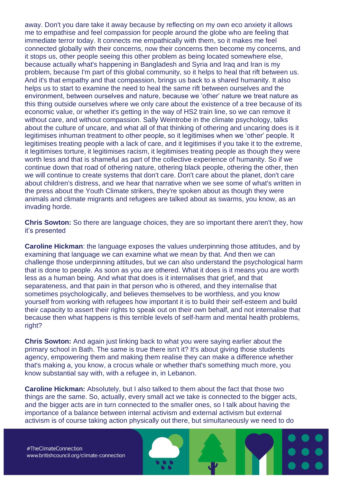away. Don't you dare take it away because by reflecting on my own eco anxiety it allows me to empathise and feel compassion for people around the globe who are feeling that immediate terror today. It connects me empathically with them, so it makes me feel connected globally with their concerns, now their concerns then become my concerns, and it stops us, other people seeing this other problem as being located somewhere else, because actually what's happening in Bangladesh and Syria and Iraq and Iran is my problem, because I'm part of this global community, so it helps to heal that rift between us. And it's that empathy and that compassion, brings us back to a shared humanity. It also helps us to start to examine the need to heal the same rift between ourselves and the environment, between ourselves and nature, because we 'other' nature we treat nature as this thing outside ourselves where we only care about the existence of a tree because of its economic value, or whether it's getting in the way of HS2 train line, so we can remove it without care, and without compassion. Sally Weintrobe in the climate psychology, talks about the culture of uncare, and what all of that thinking of othering and uncaring does is it legitimises inhuman treatment to other people, so it legitimises when we 'other' people. It legitimises treating people with a lack of care, and it legitimises if you take it to the extreme, it legitimises torture, it legitimises racism, it legitimises treating people as though they were worth less and that is shameful as part of the collective experience of humanity. So if we continue down that road of othering nature, othering black people, othering the other, then we will continue to create systems that don't care. Don't care about the planet, don't care about children's distress, and we hear that narrative when we see some of what's written in the press about the Youth Climate strikers, they're spoken about as though they were animals and climate migrants and refugees are talked about as swarms, you know, as an invading horde.

**Chris Sowton:** So there are language choices, they are so important there aren't they, how it's presented

**Caroline Hickman:** the language exposes the values underpinning those attitudes, and by examining that language we can examine what we mean by that. And then we can challenge those underpinning attitudes, but we can also understand the psychological harm that is done to people. As soon as you are othered. What it does is it means you are worth less as a human being. And what that does is it internalises that grief, and that separateness, and that pain in that person who is othered, and they internalise that sometimes psychologically, and believes themselves to be worthless, and you know yourself from working with refugees how important it is to build their self-esteem and build their capacity to assert their rights to speak out on their own behalf, and not internalise that because then what happens is this terrible levels of self-harm and mental health problems, right?

**Chris Sowton:** And again just linking back to what you were saying earlier about the primary school in Bath. The same is true there isn't it? It's about giving those students agency, empowering them and making them realise they can make a difference whether that's making a, you know, a crocus whale or whether that's something much more, you know substantial say with, with a refugee in, in Lebanon.

**Caroline Hickman:** Absolutely, but I also talked to them about the fact that those two things are the same. So, actually, every small act we take is connected to the bigger acts, and the bigger acts are in turn connected to the smaller ones, so I talk about having the importance of a balance between internal activism and external activism but external activism is of course taking action physically out there, but simultaneously we need to do

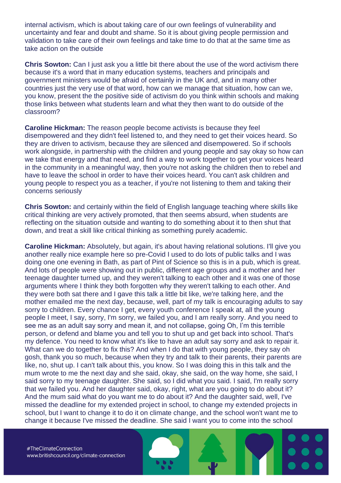internal activism, which is about taking care of our own feelings of vulnerability and uncertainty and fear and doubt and shame. So it is about giving people permission and validation to take care of their own feelings and take time to do that at the same time as take action on the outside

**Chris Sowton:** Can I just ask you a little bit there about the use of the word activism there because it's a word that in many education systems, teachers and principals and government ministers would be afraid of certainly in the UK and, and in many other countries just the very use of that word, how can we manage that situation, how can we, you know, present the the positive side of activism do you think within schools and making those links between what students learn and what they then want to do outside of the classroom?

**Caroline Hickman:** The reason people become activists is because they feel disempowered and they didn't feel listened to, and they need to get their voices heard. So they are driven to activism, because they are silenced and disempowered. So if schools work alongside, in partnership with the children and young people and say okay so how can we take that energy and that need, and find a way to work together to get your voices heard in the community in a meaningful way, then you're not asking the children then to rebel and have to leave the school in order to have their voices heard. You can't ask children and young people to respect you as a teacher, if you're not listening to them and taking their concerns seriously

**Chris Sowton:** and certainly within the field of English language teaching where skills like critical thinking are very actively promoted, that then seems absurd, when students are reflecting on the situation outside and wanting to do something about it to then shut that down, and treat a skill like critical thinking as something purely academic.

**Caroline Hickman:** Absolutely, but again, it's about having relational solutions. I'll give you another really nice example here so pre-Covid I used to do lots of public talks and I was doing one one evening in Bath, as part of Pint of Science so this is in a pub, which is great. And lots of people were showing out in public, different age groups and a mother and her teenage daughter turned up, and they weren't talking to each other and it was one of those arguments where I think they both forgotten why they weren't talking to each other. And they were both sat there and I gave this talk a little bit like, we're talking here, and the mother emailed me the next day, because, well, part of my talk is encouraging adults to say sorry to children. Every chance I get, every youth conference I speak at, all the young people I meet, I say, sorry, I'm sorry, we failed you, and I am really sorry. And you need to see me as an adult say sorry and mean it, and not collapse, going Oh, I'm this terrible person, or defend and blame you and tell you to shut up and get back into school. That's my defence. You need to know what it's like to have an adult say sorry and ask to repair it. What can we do together to fix this? And when I do that with young people, they say oh gosh, thank you so much, because when they try and talk to their parents, their parents are like, no, shut up. I can't talk about this, you know. So I was doing this in this talk and the mum wrote to me the next day and she said, okay, she said, on the way home, she said, I said sorry to my teenage daughter. She said, so I did what you said. I said, I'm really sorry that we failed you. And her daughter said, okay, right, what are you going to do about it? And the mum said what do you want me to do about it? And the daughter said, well, I've missed the deadline for my extended project in school, to change my extended projects in school, but I want to change it to do it on climate change, and the school won't want me to change it because I've missed the deadline. She said I want you to come into the school

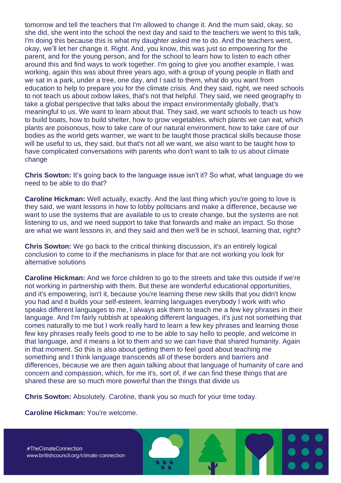tomorrow and tell the teachers that I'm allowed to change it. And the mum said, okay, so she did, she went into the school the next day and said to the teachers we went to this talk, I'm doing this because this is what my daughter asked me to do. And the teachers went, okay, we'll let her change it. Right. And, you know, this was just so empowering for the parent, and for the young person, and for the school to learn how to listen to each other around this and find ways to work together. I'm going to give you another example, I was working, again this was about three years ago, with a group of young people in Bath and we sat in a park, under a tree, one day, and I said to them, what do you want from education to help to prepare you for the climate crisis. And they said, right, we need schools to not teach us about oxbow lakes, that's not that helpful. They said, we need geography to take a global perspective that talks about the impact environmentally globally, that's meaningful to us. We want to learn about that. They said, we want schools to teach us how to build boats, how to build shelter, how to grow vegetables, which plants we can eat, which plants are poisonous, how to take care of our natural environment, how to take care of our bodies as the world gets warmer, we want to be taught those practical skills because those will be useful to us, they said, but that's not all we want, we also want to be taught how to have complicated conversations with parents who don't want to talk to us about climate change

**Chris Sowton:** It's going back to the language issue isn't it? So what, what language do we need to be able to do that?

**Caroline Hickman:** Well actually, exactly. And the last thing which you're going to love is they said, we want lessons in how to lobby politicians and make a difference, because we want to use the systems that are available to us to create change, but the systems are not listening to us, and we need support to take that forwards and make an impact. So those are what we want lessons in, and they said and then we'll be in school, learning that, right?

**Chris Sowton:** We go back to the critical thinking discussion, it's an entirely logical conclusion to come to if the mechanisms in place for that are not working you look for alternative solutions

**Caroline Hickman:** And we force children to go to the streets and take this outside if we're not working in partnership with them. But these are wonderful educational opportunities, and it's empowering, isn't it, because you're learning these new skills that you didn't know you had and it builds your self-esteem, learning languages everybody I work with who speaks different languages to me, I always ask them to teach me a few key phrases in their language. And I'm fairly rubbish at speaking different languages, it's just not something that comes naturally to me but I work really hard to learn a few key phrases and learning those few key phrases really feels good to me to be able to say hello to people, and welcome in that language, and it means a lot to them and so we can have that shared humanity. Again in that moment. So this is also about getting them to feel good about teaching me something and I think language transcends all of these borders and barriers and differences, because we are then again talking about that language of humanity of care and concern and compassion, which, for me it's, sort of, if we can find these things that are shared these are so much more powerful than the things that divide us

**Chris Sowton:** Absolutely. Caroline, thank you so much for your time today.

**Caroline Hickman:** You're welcome.

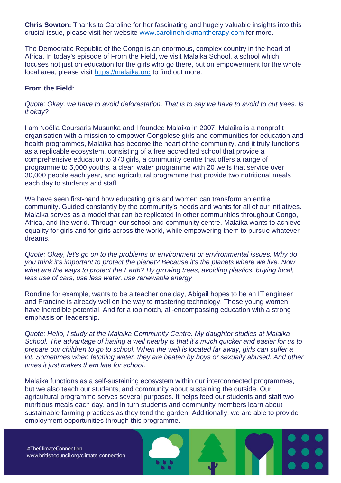**Chris Sowton:** Thanks to Caroline for her fascinating and hugely valuable insights into this crucial issue, please visit her website [www.carolinehickmantherapy.com](http://www.carolinehickmantherapy.com/) for more.

The Democratic Republic of the Congo is an enormous, complex country in the heart of Africa. In today's episode of From the Field, we visit Malaika School, a school which focuses not just on education for the girls who go there, but on empowerment for the whole local area, please visit [https://malaika.org](https://malaika.org/) to find out more.

#### **From the Field:**

*Quote: Okay, we have to avoid deforestation. That is to say we have to avoid to cut trees. Is it okay?*

I am Noëlla Coursaris Musunka and I founded Malaika in 2007. Malaika is a nonprofit organisation with a mission to empower Congolese girls and communities for education and health programmes, Malaika has become the heart of the community, and it truly functions as a replicable ecosystem, consisting of a free accredited school that provide a comprehensive education to 370 girls, a community centre that offers a range of programme to 5,000 youths, a clean water programme with 20 wells that service over 30,000 people each year, and agricultural programme that provide two nutritional meals each day to students and staff.

We have seen first-hand how educating girls and women can transform an entire community. Guided constantly by the community's needs and wants for all of our initiatives. Malaika serves as a model that can be replicated in other communities throughout Congo, Africa, and the world. Through our school and community centre, Malaika wants to achieve equality for girls and for girls across the world, while empowering them to pursue whatever dreams.

*Quote: Okay, let's go on to the problems or environment or environmental issues. Why do you think it's important to protect the planet? Because it's the planets where we live. Now what are the ways to protect the Earth? By growing trees, avoiding plastics, buying local, less use of cars, use less water, use renewable energy*

Rondine for example, wants to be a teacher one day, Abigail hopes to be an IT engineer and Francine is already well on the way to mastering technology. These young women have incredible potential. And for a top notch, all-encompassing education with a strong emphasis on leadership.

*Quote: Hello, I study at the Malaika Community Centre. My daughter studies at Malaika School. The advantage of having a well nearby is that it's much quicker and easier for us to prepare our children to go to school. When the well is located far away, girls can suffer a lot. Sometimes when fetching water, they are beaten by boys or sexually abused. And other times it just makes them late for school*.

Malaika functions as a self-sustaining ecosystem within our interconnected programmes, but we also teach our students, and community about sustaining the outside. Our agricultural programme serves several purposes. It helps feed our students and staff two nutritious meals each day, and in turn students and community members learn about sustainable farming practices as they tend the garden. Additionally, we are able to provide employment opportunities through this programme.